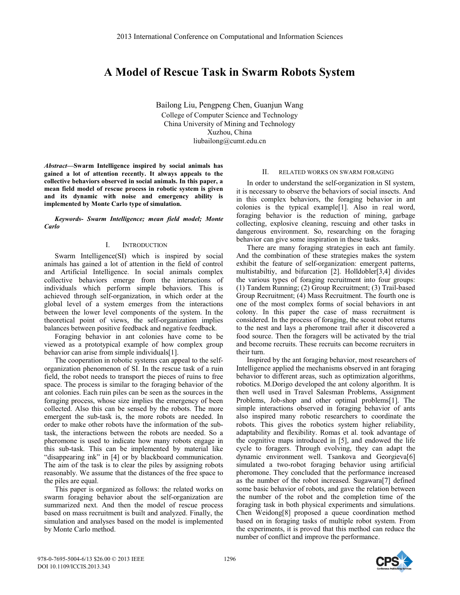# **A Model of Rescue Task in Swarm Robots System**

Bailong Liu, Pengpeng Chen, Guanjun Wang College of Computer Science and Technology China University of Mining and Technology Xuzhou, China liubailong@cumt.edu.cn

*Abstract***—Swarm Intelligence inspired by social animals has gained a lot of attention recently. It always appeals to the collective behaviors observed in social animals. In this paper, a mean field model of rescue process in robotic system is given and its dynamic with noise and emergency ability is implemented by Monte Carlo type of simulation.** 

*Keywords- Swarm Intelligence; mean field model; Monte Carlo* 

# I. INTRODUCTION

Swarm Intelligence(SI) which is inspired by social animals has gained a lot of attention in the field of control and Artificial Intelligence. In social animals complex collective behaviors emerge from the interactions of individuals which perform simple behaviors. This is achieved through self-organization, in which order at the global level of a system emerges from the interactions between the lower level components of the system. In the theoretical point of views, the self-organization implies balances between positive feedback and negative feedback.

Foraging behavior in ant colonies have come to be viewed as a prototypical example of how complex group behavior can arise from simple individuals[1].

The cooperation in robotic systems can appeal to the selforganization phenomenon of SI. In the rescue task of a ruin field, the robot needs to transport the pieces of ruins to free space. The process is similar to the foraging behavior of the ant colonies. Each ruin piles can be seen as the sources in the foraging process, whose size implies the emergency of been collected. Also this can be sensed by the robots. The more emergent the sub-task is, the more robots are needed. In order to make other robots have the information of the subtask, the interactions between the robots are needed. So a pheromone is used to indicate how many robots engage in this sub-task. This can be implemented by material like "disappearing ink" in [4] or by blackboard communication. The aim of the task is to clear the piles by assigning robots reasonably. We assume that the distances of the free space to the piles are equal.

This paper is organized as follows: the related works on swarm foraging behavior about the self-organization are summarized next. And then the model of rescue process based on mass recruitment is built and analyzed. Finally, the simulation and analyses based on the model is implemented by Monte Carlo method.

# II. RELATED WORKS ON SWARM FORAGING

In order to understand the self-organization in SI system, it is necessary to observe the behaviors of social insects. And in this complex behaviors, the foraging behavior in ant colonies is the typical example[1]. Also in real word, foraging behavior is the reduction of mining, garbage collecting, explosive cleaning, rescuing and other tasks in dangerous environment. So, researching on the foraging behavior can give some inspiration in these tasks.

There are many foraging strategies in each ant family. And the combination of these strategies makes the system exhibit the feature of self-organization: emergent patterns, multistabiltiy, and bifurcation [2]. Holldobler[3,4] divides the various types of foraging recruitment into four groups: (1) Tandem Running; (2) Group Recruitment; (3) Trail-based Group Recruitment; (4) Mass Recruitment. The fourth one is one of the most complex forms of social behaviors in ant colony. In this paper the case of mass recruitment is considered. In the process of foraging, the scout robot returns to the nest and lays a pheromone trail after it discovered a food source. Then the foragers will be activated by the trial and become recruits. These recruits can become recruiters in their turn.

Inspired by the ant foraging behavior, most researchers of Intelligence applied the mechanisms observed in ant foraging behavior to different areas, such as optimization algorithms, robotics. M.Dorigo developed the ant colony algorithm. It is then well used in Travel Salesman Problems, Assignment Problems, Job-shop and other optimal problems[1]. The simple interactions observed in foraging behavior of ants also inspired many robotic researchers to coordinate the robots. This gives the robotics system higher reliability, adaptability and flexibility. Romas et al. took advantage of the cognitive maps introduced in [5], and endowed the life cycle to foragers. Through evolving, they can adapt the dynamic environment well. Tsankova and Georgieva[6] simulated a two-robot foraging behavior using artificial pheromone. They concluded that the performance increased as the number of the robot increased. Sugawara[7] defined some basic behavior of robots, and gave the relation between the number of the robot and the completion time of the foraging task in both physical experiments and simulations. Chen Weidong[8] proposed a queue coordination method based on in foraging tasks of multiple robot system. From the experiments, it is proved that this method can reduce the number of conflict and improve the performance.

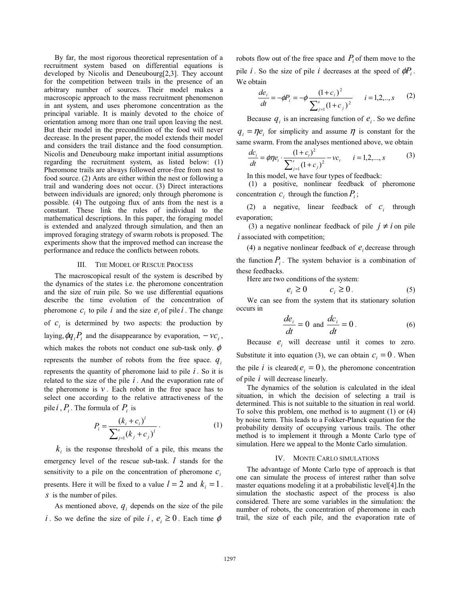By far, the most rigorous theoretical representation of a recruitment system based on differential equations is developed by Nicolis and Deneubourg[2,3]. They account for the competition between trails in the presence of an arbitrary number of sources. Their model makes a macroscopic approach to the mass recruitment phenomenon in ant system, and uses pheromone concentration as the principal variable. It is mainly devoted to the choice of orientation among more than one trail upon leaving the nest. But their model in the precondition of the food will never decrease. In the present paper, the model extends their model and considers the trail distance and the food consumption. Nicolis and Deneubourg make important initial assumptions regarding the recruitment system, as listed below: (1) Pheromone trails are always followed error-free from nest to food source. (2) Ants are either within the nest or following a trail and wandering does not occur. (3) Direct interactions between individuals are ignored; only through pheromone is possible. (4) The outgoing flux of ants from the nest is a constant. These link the rules of individual to the mathematical descriptions. In this paper, the foraging model is extended and analyzed through simulation, and then an improved foraging strategy of swarm robots is proposed. The experiments show that the improved method can increase the performance and reduce the conflicts between robots.

# III. THE MODEL OF RESCUE PROCESS

The macroscopical result of the system is described by the dynamics of the states i.e. the pheromone concentration and the size of ruin pile. So we use differential equations describe the time evolution of the concentration of pheromone  $c_i$  to pile  $i$  and the size  $e_i$  of pile  $i$ . The change of  $c_i$  is determined by two aspects: the production by laying,  $\phi q_i P_i$  and the disappearance by evaporation,  $-vc_i$ , which makes the robots not conduct one sub-task only.  $\phi$ represents the number of robots from the free space.  $q_i$ represents the quantity of pheromone laid to pile *i* . So it is related to the size of the pile *i* . And the evaporation rate of the pheromone is  $v$ . Each robot in the free space has to select one according to the relative attractiveness of the pile  $i$ ,  $P_i$ . The formula of  $P_i$  is

$$
P_i = \frac{(k_i + c_i)^l}{\sum_{j=1}^s (k_j + c_j)^l}.
$$
 (1)

 $k_i$  is the response threshold of a pile, this means the emergency level of the rescue sub-task. *l* stands for the sensitivity to a pile on the concentration of pheromone  $c_i$ presents. Here it will be fixed to a value  $l = 2$  and  $k_i = 1$ . *s* is the number of piles.

As mentioned above,  $q_i$  depends on the size of the pile *i*. So we define the size of pile *i*,  $e_i \geq 0$ . Each time  $\phi$ 

robots flow out of the free space and  $P_i$  of them move to the pile *i*. So the size of pile *i* decreases at the speed of  $\phi P_i$ . We obtain

$$
\frac{de_i}{dt} = -\phi P_i = -\phi \frac{(1+c_i)^2}{\sum_{j=1}^s (1+c_j)^2} \qquad i = 1,2,..,s \qquad (2)
$$

Because  $q_i$  is an increasing function of  $e_i$ . So we define  $q_i = \eta e_i$  for simplicity and assume  $\eta$  is constant for the same swarm. From the analyses mentioned above, we obtain

$$
\frac{dc_i}{dt} = \phi \eta e_i \cdot \frac{(1+c_i)^2}{\sum_{j=1}^s (1+c_j)^2} - vc_i \qquad i = 1,2,...,s
$$
 (3)

In this model, we have four types of feedback:

 (1) a positive, nonlinear feedback of pheromone concentration  $c_i$  through the function  $P_i$ ;

(2) a negative, linear feedback of  $c_i$  through evaporation;

(3) a negative nonlinear feedback of pile  $j \neq i$  on pile *i* associated with competition;

(4) a negative nonlinear feedback of  $e_i$  decrease through the function  $P_i$ . The system behavior is a combination of

these feedbacks.

Here are two conditions of the system:

$$
e_i \ge 0 \qquad \quad c_i \ge 0. \tag{5}
$$

We can see from the system that its stationary solution occurs in

$$
\frac{de_i}{dt} = 0 \text{ and } \frac{dc_i}{dt} = 0.
$$
 (6)

Because  $e_i$  will decrease until it comes to zero. Substitute it into equation (3), we can obtain  $c_i = 0$ . When the pile *i* is cleared( $e_i = 0$ ), the pheromone concentration of pile *i* will decrease linearly.

The dynamics of the solution is calculated in the ideal situation, in which the decision of selecting a trail is determined. This is not suitable to the situation in real world. To solve this problem, one method is to augment (1) or (4) by noise term. This leads to a Fokker-Planck equation for the probability density of occupying various trails. The other method is to implement it through a Monte Carlo type of simulation. Here we appeal to the Monte Carlo simulation.

### IV. MONTE CARLO SIMULATIONS

The advantage of Monte Carlo type of approach is that one can simulate the process of interest rather than solve master equations modeling it at a probabilistic level[4].In the simulation the stochastic aspect of the process is also considered. There are some variables in the simulation: the number of robots, the concentration of pheromone in each trail, the size of each pile, and the evaporation rate of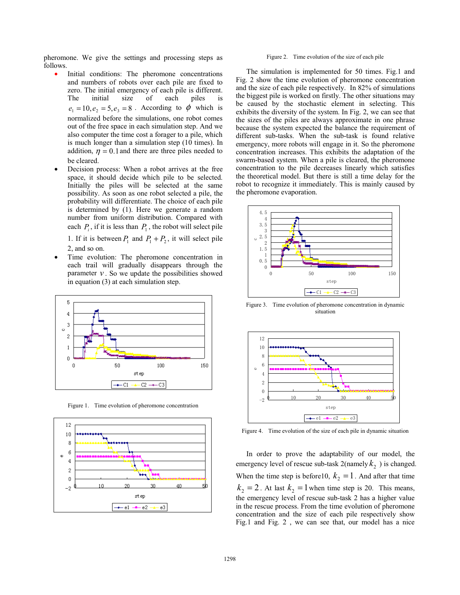pheromone. We give the settings and processing steps as follows.

- Initial conditions: The pheromone concentrations and numbers of robots over each pile are fixed to zero. The initial emergency of each pile is different. The initial size of each piles is  $e_1 = 10, e_2 = 5, e_3 = 8$ . According to  $\phi$  which is normalized before the simulations, one robot comes out of the free space in each simulation step. And we also computer the time cost a forager to a pile, which is much longer than a simulation step (10 times). In addition,  $\eta = 0.1$  and there are three piles needed to be cleared.
- Decision process: When a robot arrives at the free space, it should decide which pile to be selected. Initially the piles will be selected at the same possibility. As soon as one robot selected a pile, the probability will differentiate. The choice of each pile is determined by (1). Here we generate a random number from uniform distribution. Compared with each  $P_i$ , if it is less than  $P_1$ , the robot will select pile

1. If it is between  $P_1$  and  $P_1 + P_2$ , it will select pile 2, and so on.

Time evolution: The pheromone concentration in each trail will gradually disappears through the parameter  $\nu$ . So we update the possibilities showed in equation (3) at each simulation step.



Figure 1. Time evolution of pheromone concentration



## Figure 2. Time evolution of the size of each pile

The simulation is implemented for 50 times. Fig.1 and Fig. 2 show the time evolution of pheromone concentration and the size of each pile respectively. In 82% of simulations the biggest pile is worked on firstly. The other situations may be caused by the stochastic element in selecting. This exhibits the diversity of the system. In Fig. 2, we can see that the sizes of the piles are always approximate in one phrase because the system expected the balance the requirement of different sub-tasks. When the sub-task is found relative emergency, more robots will engage in it. So the pheromone concentration increases. This exhibits the adaptation of the swarm-based system. When a pile is cleared, the pheromone concentration to the pile decreases linearly which satisfies the theoretical model. But there is still a time delay for the robot to recognize it immediately. This is mainly caused by the pheromone evaporation.



Figure 3. Time evolution of pheromone concentration in dynamic situation



Figure 4. Time evolution of the size of each pile in dynamic situation

In order to prove the adaptability of our model, the emergency level of rescue sub-task  $2$ (namely  $k<sub>2</sub>$ ) is changed. When the time step is before10,  $k<sub>2</sub> = 1$ . And after that time  $k_2 = 2$ . At last  $k_2 = 1$  when time step is 20. This means, the emergency level of rescue sub-task 2 has a higher value in the rescue process. From the time evolution of pheromone concentration and the size of each pile respectively show Fig.1 and Fig. 2 , we can see that, our model has a nice